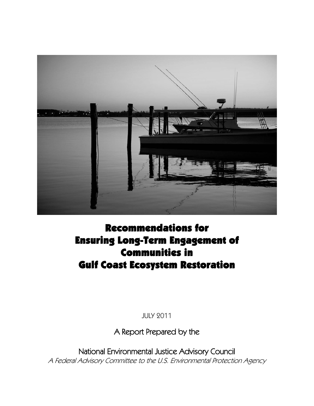

# Recommendations for Ensuring Long-Term Engagement of Communities in Gulf Coast Ecosystem Restoration

JULY 2011

A Report Prepared by the

National Environmental Justice Advisory Council A Federal Advisory Committee to the U.S. Environmental Protection Agency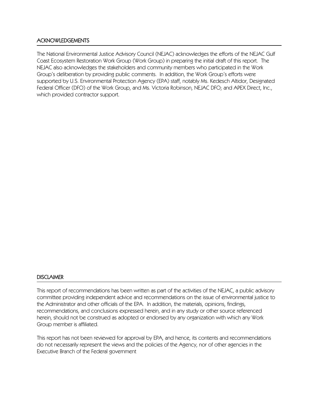#### **ACKNOWLEDGEMENTS**

The National Environmental Justice Advisory Council (NEJAC) acknowledges the efforts of the NEJAC Gulf Coast Ecosystem Restoration Work Group (Work Group) in preparing the initial draft of this report. The NEJAC also acknowledges the stakeholders and community members who participated in the Work Group's deliberation by providing public comments. In addition, the Work Group's efforts were supported by U.S. Environmental Protection Agency (EPA) staff, notably Ms. Kedesch Altidor, Designated Federal Officer (DFO) of the Work Group, and Ms. Victoria Robinson, NEJAC DFO; and APEX Direct, Inc., which provided contractor support.

#### **DISCLAIMER**

This report of recommendations has been written as part of the activities of the NEJAC, a public advisory committee providing independent advice and recommendations on the issue of environmental justice to the Administrator and other officials of the EPA. In addition, the materials, opinions, findings, recommendations, and conclusions expressed herein, and in any study or other source referenced herein, should not be construed as adopted or endorsed by any organization with which any Work Group member is affiliated.

This report has not been reviewed for approval by EPA, and hence, its contents and recommendations do not necessarily represent the views and the policies of the Agency, nor of other agencies in the Executive Branch of the Federal government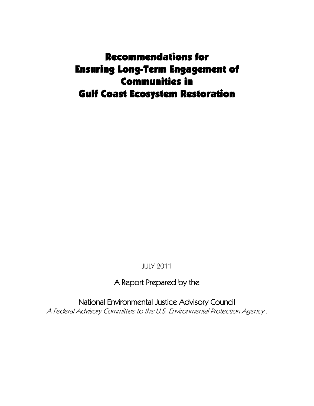# Recommendations for Ensuring Long-Term Engagement of Communities in Gulf Coast Ecosystem Restoration

JULY 2011

# A Report Prepared by the

National Environmental Justice Advisory Council A Federal Advisory Committee to the U.S. Environmental Protection Agency .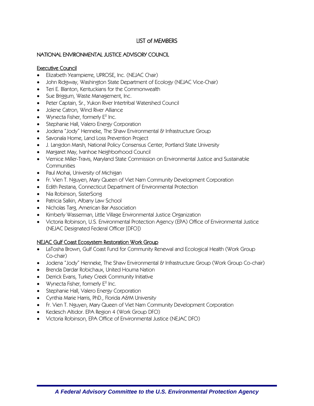# LIST of MEMBERS

#### NATIONAL ENVIRONMENTAL JUSTICE ADVISORY COUNCIL

#### Executive Council

- Elizabeth Yeampierre, UPROSE, Inc. (NEJAC Chair)
- John Ridgway, Washington State Department of Ecology (NEJAC Vice-Chair)
- Teri E. Blanton, Kentuckians for the Commonwealth
- Sue Briggum, Waste Management, Inc.
- Peter Captain, Sr., Yukon River Intertribal Watershed Council
- Jolene Catron, Wind River Alliance
- Wynecta Fisher, formerly  $E^2$  Inc.
- Stephanie Hall, Valero Energy Corporation
- Jodena "Jody" Henneke, The Shaw Environmental & Infrastructure Group
- Savonala Horne, Land Loss Prevention Project
- J. Langdon Marsh, National Policy Consensus Center, Portland State University
- Margaret May, Ivanhoe Neighborhood Council
- Vernice Miller-Travis, Maryland State Commission on Environmental Justice and Sustainable **Communities**
- Paul Mohai, University of Michigan
- Fr. Vien T. Nguyen, Mary Queen of Viet Nam Community Development Corporation
- Edith Pestana, Connecticut Department of Environmental Protection
- Nia Robinson, SisterSong
- Patricia Salkin, Albany Law School
- Nicholas Targ, American Bar Association
- Kimberly Wasserman, Little Village Environmental Justice Organization
- Victoria Robinson, U.S. Environmental Protection Agency (EPA) Office of Environmental Justice (NEJAC Designated Federal Officer [DFO])

# NEJAC Gulf Coast Ecosystem Restoration Work Group

- LaTosha Brown, Gulf Coast Fund for Community Renewal and Ecological Health (Work Group Co-chair)
- Jodena "Jody" Henneke, The Shaw Environmental & Infrastructure Group (Work Group Co-chair)
- Brenda Dardar Robichaux, United Houma Nation
- Derrick Evans, Turkey Creek Community Initiative
- Wynecta Fisher, formerly  $E^2$  Inc.
- **•** Stephanie Hall, Valero Energy Corporation
- Cynthia Marie Harris, PhD., Florida A&M University
- Fr. Vien T. Nguyen, Mary Queen of Viet Nam Community Development Corporation
- Kedesch Altidor. EPA Region 4 (Work Group DFO)
- Victoria Robinson, EPA Office of Environmental Justice (NEJAC DFO)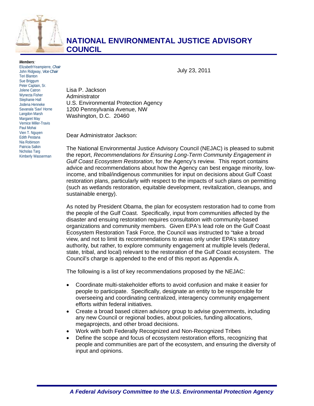

# **NATIONAL ENVIRONMENTAL JUSTICE ADVISORY COUNCIL**

*Members:*  ElizabethYeampierre, *Chair*  John Ridgway, *Vice Chair*  Teri Blanton Sue Briggum Peter Captain, Sr. Jolene Catron Wynecta Fisher Stephanie Hall Jodena Henneke Savanala 'Savi' Horne Langdon Marsh Margaret May Vernice Miller-Travis Paul Mohai Vien T. Nguyen Edith Pestana Nia Robinson Patricia Salkin Nicholas Targ Kimberly Wasserman

July 23, 2011

Lisa P. Jackson Administrator U.S. Environmental Protection Agency 1200 Pennsylvania Avenue, NW Washington, D.C. 20460

Dear Administrator Jackson:

The National Environmental Justice Advisory Council (NEJAC) is pleased to submit the report, *Recommendations for Ensuring Long-Term Community Engagement in Gulf Coast Ecosystem Restoration*, for the Agency's review. This report contains advice and recommendations about how the Agency can best engage minority, lowincome, and tribal/indigenous communities for input on decisions about Gulf Coast restoration plans, particularly with respect to the impacts of such plans on permitting (such as wetlands restoration, equitable development, revitalization, cleanups, and sustainable energy).

As noted by President Obama, the plan for ecosystem restoration had to come from the people of the Gulf Coast. Specifically, input from communities affected by the disaster and ensuing restoration requires consultation with community-based organizations and community members. Given EPA's lead role on the Gulf Coast Ecosystem Restoration Task Force, the Council was instructed to "take a broad view, and not to limit its recommendations to areas only under EPA's statutory authority, but rather, to explore community engagement at multiple levels (federal, state, tribal, and local) relevant to the restoration of the Gulf Coast ecosystem. The Council's charge is appended to the end of this report as Appendix A.

The following is a list of key recommendations proposed by the NEJAC:

- Coordinate multi-stakeholder efforts to avoid confusion and make it easier for people to participate. Specifically, designate an entity to be responsible for overseeing and coordinating centralized, interagency community engagement efforts within federal initiatives.
- Create a broad based citizen advisory group to advise governments, including any new Council or regional bodies, about policies, funding allocations, megaprojects, and other broad decisions.
- Work with both Federally Recognized and Non-Recognized Tribes
- Define the scope and focus of ecosystem restoration efforts, recognizing that people and communities are part of the ecosystem, and ensuring the diversity of input and opinions.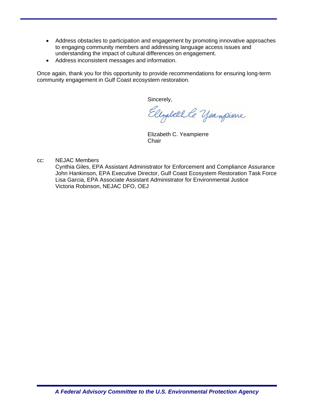- Address obstacles to participation and engagement by promoting innovative approaches to engaging community members and addressing language access issues and understanding the impact of cultural differences on engagement.
- Address inconsistent messages and information.

Once again, thank you for this opportunity to provide recommendations for ensuring long-term community engagement in Gulf Coast ecosystem restoration.

Sincerely,

Elizabeth le Yeanpierre

Elizabeth C. Yeampierre **Chair** 

cc: NEJAC Members

Cynthia Giles, EPA Assistant Administrator for Enforcement and Compliance Assurance John Hankinson, EPA Executive Director, Gulf Coast Ecosystem Restoration Task Force Lisa Garcia, EPA Associate Assistant Administrator for Environmental Justice Victoria Robinson, NEJAC DFO, OEJ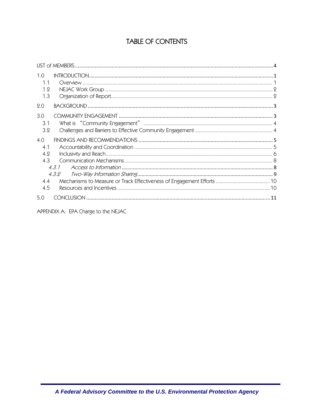# **TABLE OF CONTENTS**

| 1.0 |                |  |
|-----|----------------|--|
| 1.1 |                |  |
| 1.2 |                |  |
| 1.3 |                |  |
| 2.0 |                |  |
| 3.0 |                |  |
| 3.1 |                |  |
| 3.2 |                |  |
| 4.0 |                |  |
| 4.1 |                |  |
| 4.2 |                |  |
| 4.3 |                |  |
|     | 4.3.1<br>4.3.2 |  |
| 4.4 |                |  |
| 4.5 |                |  |
| 5.0 |                |  |

APPENDIX A: EPA Charge to the NEJAC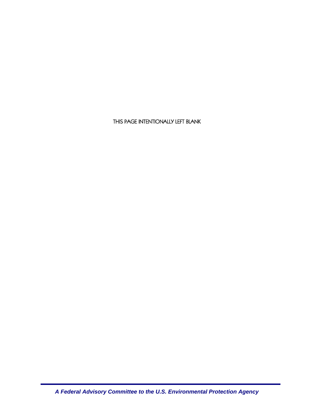#### THIS PAGE INTENTIONALLY LEFT BLANK

*A Federal Advisory Committee to the U.S. Environmental Protection Agency*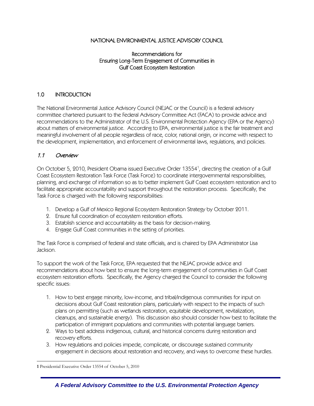#### NATIONAL ENVIRONMENTAL JUSTICE ADVISORY COUNCIL

#### Recommendations for Ensuring Long-Term Engagement of Communities in Gulf Coast Ecosystem Restoration

### 1.0 INTRODUCTION

The National Environmental Justice Advisory Council (NEJAC or the Council) is a federal advisory committee chartered pursuant to the Federal Advisory Committee Act (FACA) to provide advice and recommendations to the Administrator of the U.S. Environmental Protection Agency (EPA or the Agency) about matters of environmental justice. According to EPA, environmental justice is the fair treatment and meaningful involvement of all people regardless of race, color, national origin, or income with respect to the development, implementation, and enforcement of environmental laws, regulations, and policies.

# 1.1 Overview

On October 5, 2010, President Obama issued Executive Order 13554<sup>1</sup>, directing the creation of a Gulf Coast Ecosystem Restoration Task Force (Task Force) to coordinate intergovernmental responsibilities, planning, and exchange of information so as to better implement Gulf Coast ecosystem restoration and to facilitate appropriate accountability and support throughout the restoration process. Specifically, the Task Force is charged with the following responsibilities:

- 1. Develop a Gulf of Mexico Regional Ecosystem Restoration Strategy by October 2011.
- 2. Ensure full coordination of ecosystem restoration efforts.
- 3. Establish science and accountability as the basis for decision-making.
- 4. Engage Gulf Coast communities in the setting of priorities.

The Task Force is comprised of federal and state officials, and is chaired by EPA Administrator Lisa Jackson.

To support the work of the Task Force, EPA requested that the NEJAC provide advice and recommendations about how best to ensure the long-term engagement of communities in Gulf Coast ecosystem restoration efforts. Specifically, the Agency charged the Council to consider the following specific issues:

- 1. How to best engage minority, low-income, and tribal/indigenous communities for input on decisions about Gulf Coast restoration plans, particularly with respect to the impacts of such plans on permitting (such as wetlands restoration, equitable development, revitalization, cleanups, and sustainable energy). This discussion also should consider how best to facilitate the participation of immigrant populations and communities with potential language barriers.
- 2. Ways to best address indigenous, cultural, and historical concerns during restoration and recovery efforts.
- 3. How regulations and policies impede, complicate, or discourage sustained community engagement in decisions about restoration and recovery, and ways to overcome these hurdles.

 $\overline{a}$ **1** Presidential Executive Order 13554 of October 5, 2010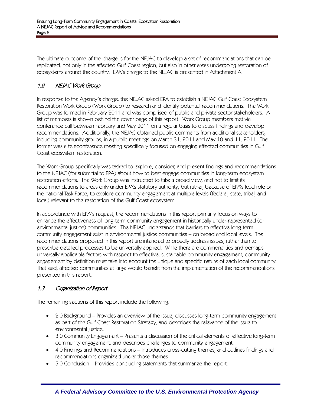The ultimate outcome of the charge is for the NEJAC to develop a set of recommendations that can be replicated, not only in the affected Gulf Coast region, but also in other areas undergoing restoration of ecosystems around the country. EPA's charge to the NEJAC is presented in Attachment A.

# 1.2 NEJAC Work Group

In response to the Agency's charge, the NEJAC asked EPA to establish a NEJAC Gulf Coast Ecosystem Restoration Work Group (Work Group) to research and identify potential recommendations. The Work Group was formed in February 2011 and was comprised of public and private sector stakeholders. A list of members is shown behind the cover page of this report. Work Group members met via conference call between February and May 2011 on a regular basis to discuss findings and develop recommendations. Additionally, the NEJAC obtained public comments from additional stakeholders, including community groups, in a public meetings on March 31, 2011 and May 10 and 11, 2011. The former was a teleconference meeting specifically focused on engaging affected communities in Gulf Coast ecosystem restoration.

The Work Group specifically was tasked to explore, consider, and present findings and recommendations to the NEJAC (for submittal to EPA) about how to best engage communities in long-term ecosystem restoration efforts. The Work Group was instructed to take a broad view, and not to limit its recommendations to areas only under EPA's statutory authority; but rather, because of EPA's lead role on the national Task Force, to explore community engagement at multiple levels (federal, state, tribal, and local) relevant to the restoration of the Gulf Coast ecosystem.

In accordance with EPA's request, the recommendations in this report primarily focus on ways to enhance the effectiveness of long-term community engagement in historically under-represented (or environmental justice) communities. The NEJAC understands that barriers to effective long-term community engagement exist in environmental justice communities – on broad and local levels. The recommendations proposed in this report are intended to broadly address issues, rather than to prescribe detailed processes to be universally applied. While there are commonalities and perhaps universally applicable factors with respect to effective, sustainable community engagement, community engagement by definition must take into account the unique and specific nature of each local community. That said, affected communities at large would benefit from the implementation of the recommendations presented in this report.

# 1.3 Organization of Report

The remaining sections of this report include the following:

- 2.0 Background Provides an overview of the issue, discusses long-term community engagement as part of the Gulf Coast Restoration Strategy, and describes the relevance of the issue to environmental justice.
- 3.0 Community Engagement Presents a discussion of the critical elements of effective long-term community engagement, and describes challenges to community engagement.
- 4.0 Findings and Recommendations Introduces cross-cutting themes, and outlines findings and recommendations organized under those themes.
- 5.0 Conclusion Provides concluding statements that summarize the report.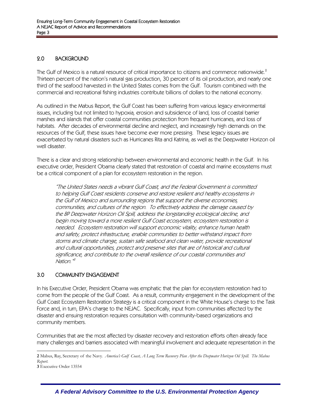# 2.0 BACKGROUND

The Gulf of Mexico is a natural resource of critical importance to citizens and commerce nationwide. $^2$ Thirteen percent of the nation's natural gas production, 30 percent of its oil production, and nearly one third of the seafood harvested in the United States comes from the Gulf. Tourism combined with the commercial and recreational fishing industries contribute billions of dollars to the national economy.

As outlined in the Mabus Report, the Gulf Coast has been suffering from various legacy environmental issues, including but not limited to hypoxia, erosion and subsidence of land, loss of coastal barrier marshes and islands that offer coastal communities protection from frequent hurricanes, and loss of habitats. After decades of environmental decline and neglect, and increasingly high demands on the resources of the Gulf, these issues have become ever more pressing. These legacy issues are exacerbated by natural disasters such as Hurricanes Rita and Katrina, as well as the Deepwater Horizon oil well disaster.

There is a clear and strong relationship between environmental and economic health in the Gulf. In his executive order, President Obama clearly stated that restoration of coastal and marine ecosystems must be a critical component of a plan for ecosystem restoration in the region.

"The United States needs a vibrant Gulf Coast, and the Federal Government is committed to helping Gulf Coast residents conserve and restore resilient and healthy ecosystems in the Gulf of Mexico and surrounding regions that support the diverse economies, communities, and cultures of the region. To effectively address the damage caused by the BP Deepwater Horizon Oil Spill, address the longstanding ecological decline, and begin moving toward a more resilient Gulf Coast ecosystem, ecosystem restoration is needed. Ecosystem restoration will support economic vitality, enhance human health and safety, protect infrastructure, enable communities to better withstand impact from storms and climate change, sustain safe seafood and clean water, provide recreational and cultural opportunities, protect and preserve sites that are of historical and cultural significance, and contribute to the overall resilience of our coastal communities and Nation.<sup>"3</sup>

# 3.0 COMMUNITY ENGAGEMENT

In his Executive Order, President Obama was emphatic that the plan for ecosystem restoration had to come from the people of the Gulf Coast. As a result, community engagement in the development of the Gulf Coast Ecosystem Restoration Strategy is a critical component in the White House's charge to the Task Force and, in turn, EPA's charge to the NEJAC. Specifically, input from communities affected by the disaster and ensuing restoration requires consultation with community-based organizations and community members.

Communities that are the most affected by disaster recovery and restoration efforts often already face many challenges and barriers associated with meaningful involvement and adequate representation in the

*A Federal Advisory Committee to the U.S. Environmental Protection Agency* 

**<sup>2</sup>** Mabus, Ray, Secretary of the Navy. *America's Gulf Coast, A Long Term Recovery Plan After the Deepwater Horizon Oil Spill. The Mabus Report.* 

**<sup>3</sup>** Executive Order 13554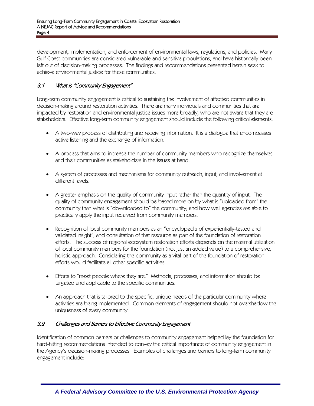development, implementation, and enforcement of environmental laws, regulations, and policies. Many Gulf Coast communities are considered vulnerable and sensitive populations, and have historically been left out of decision-making processes. The findings and recommendations presented herein seek to achieve environmental justice for these communities.

# 3.1 What is "Community Engagement"

Long-term community engagement is critical to sustaining the involvement of affected communities in decision-making around restoration activities. There are many individuals and communities that are impacted by restoration and environmental justice issues more broadly, who are not aware that they are stakeholders. Effective long-term community engagement should include the following critical elements:

- A two-way process of distributing and receiving information. It is a dialogue that encompasses active listening and the exchange of information.
- A process that aims to increase the number of community members who recognize themselves and their communities as stakeholders in the issues at hand.
- A system of processes and mechanisms for community outreach, input, and involvement at different levels.
- A greater emphasis on the quality of community input rather than the quantity of input. The quality of community engagement should be based more on by what is "uploaded from" the community than what is "downloaded to" the community; and how well agencies are able to practically apply the input received from community members.
- Recognition of local community members as an "encyclopedia of experientially-tested and validated insight", and consultation of that resource as part of the foundation of restoration efforts. The success of regional ecosystem restoration efforts depends on the maximal utilization of local community members for the foundation (not just an added value) to a comprehensive, holistic approach. Considering the community as a vital part of the foundation of restoration efforts would facilitate all other specific activities.
- Efforts to "meet people where they are." Methods, processes, and information should be targeted and applicable to the specific communities.
- An approach that is tailored to the specific, unique needs of the particular community where activities are being implemented. Common elements of engagement should not overshadow the uniqueness of every community.

# 3.2 Challenges and Barriers to Effective Community Engagement

Identification of common barriers or challenges to community engagement helped lay the foundation for hard-hitting recommendations intended to convey the critical importance of community engagement in the Agency's decision-making processes. Examples of challenges and barriers to long-term community engagement include: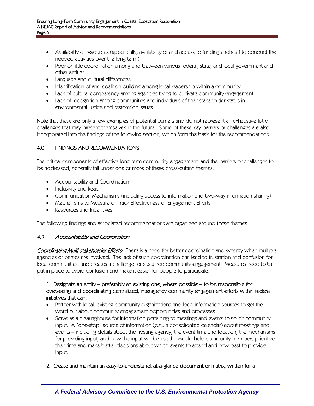- Availability of resources (specifically, availability of and access to funding and staff to conduct the needed activities over the long term)
- Poor or little coordination among and between various federal, state, and local government and other entities
- Language and cultural differences
- Identification of and coalition building among local leadership within a community
- Lack of cultural competency among agencies trying to cultivate community engagement
- Lack of recognition among communities and individuals of their stakeholder status in environmental justice and restoration issues

Note that these are only a few examples of potential barriers and do not represent an exhaustive list of challenges that may present themselves in the future. Some of these key barriers or challenges are also incorporated into the findings of the following section, which form the basis for the recommendations.

# 4.0 FINDINGS AND RECOMMENDATIONS

The critical components of effective long-term community engagement, and the barriers or challenges to be addressed, generally fall under one or more of these cross-cutting themes:

- Accountability and Coordination
- Inclusivity and Reach
- Communication Mechanisms (including access to information and two-way information sharing)
- Mechanisms to Measure or Track Effectiveness of Engagement Efforts
- Resources and Incentives

The following findings and associated recommendations are organized around these themes.

# 4.1 Accountability and Coordination

Coordinating Multi-stakeholder Efforts: There is a need for better coordination and synergy when multiple agencies or parties are involved. The lack of such coordination can lead to frustration and confusion for local communities; and creates a challenge for sustained community engagement. Measures need to be put in place to avoid confusion and make it easier for people to participate.

#### 1. Designate an entity – preferably an existing one, where possible – to be responsible for overseeing and coordinating centralized, interagency community engagement efforts within federal initiatives that can:

- Partner with local, existing community organizations and local information sources to get the word out about community engagement opportunities and processes.
- Serve as a clearinghouse for information pertaining to meetings and events to solicit community input. A "one-stop" source of information (e.g., a consolidated calendar) about meetings and events – including details about the hosting agency, the event time and location, the mechanisms for providing input, and how the input will be used – would help community members prioritize their time and make better decisions about which events to attend and how best to provide input.
- 2. Create and maintain an easy-to-understand, at-a-glance document or matrix, written for a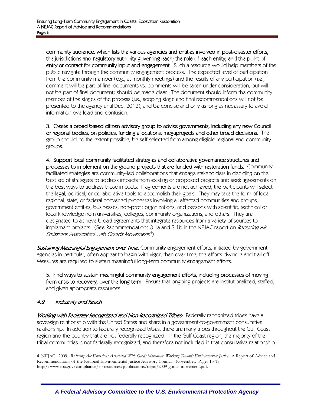community audience, which lists the various agencies and entities involved in post-disaster efforts; the jurisdictions and regulatory authority governing each; the role of each entity; and the point of entry or contact for community input and engagement. Such a resource would help members of the public navigate through the community engagement process. The expected level of participation from the community member (e.g., at monthly meetings) and the results of any participation (i.e., comment will be part of final documents vs. comments will be taken under consideration, but will not be part of final document) should be made clear. The document should inform the community member of the stages of the process (i.e., scoping stage and final recommendations will not be presented to the agency until Dec. 2012), and be concise and only as long as necessary to avoid information overload and confusion.

 3. Create a broad based citizen advisory group to advise governments, including any new Council or regional bodies, on policies, funding allocations, megaprojects and other broad decisions. The group should, to the extent possible, be self-selected from among eligible regional and community groups.

4. Support local community facilitated strategies and collaborative governance structures and processes to implement on the ground projects that are funded with restoration funds. Community facilitated strategies are community-led collaborations that engage stakeholders in deciding on the best set of strategies to address impacts from existing or proposed projects and seek agreements on the best ways to address those impacts. If agreements are not achieved, the participants will select the legal, political, or collaborative tools to accomplish their goals. They may take the form of local, regional, state, or federal convened processes involving all affected communities and groups, government entities, businesses, non-profit organizations, and persons with scientific, technical or local knowledge from universities, colleges, community organizations, and others. They are designated to achieve broad agreements that integrate resources from a variety of sources to implement projects. (See Recommendations 3.1a and 3.1b in the NEJAC report on *Reducing Air* Emissions Associated with Goods Movement. 4 )

Sustaining Meaningful Engagement over Time: Community engagement efforts, initiated by government agencies in particular, often appear to begin with vigor, then over time, the efforts dwindle and trail off. Measures are required to sustain meaningful long-term community engagement efforts.

5. Find ways to sustain meaningful community engagement efforts, including processes of moving from crisis to recovery, over the long term. Ensure that ongoing projects are institutionalized, staffed, and given appropriate resources.

# 4.2 Inclusivity and Reach

Working with Federally Recognized and Non-Recognized Tribes: Federally recognized tribes have a sovereign relationship with the United States and share in a government-to-government consultative relationship. In addition to federally recognized tribes, there are many tribes throughout the Gulf Coast region and the country that are not federally recognized. In the Gulf Coast region, the majority of the tribal communities is not federally recognized, and therefore not included in that consultative relationship.

 $\overline{a}$ Recommendations of the National Environmental Justice Advisory Council. November. Pages 13-18. **4** NEJAC. 2009. *Reducing Air Emissions Associated With Goods Movement: Working Towards Environmental Justice.* A Report of Advice and http://www.epa.gov/compliance/ej/resources/publications/nejac/2009-goods-movement.pdf.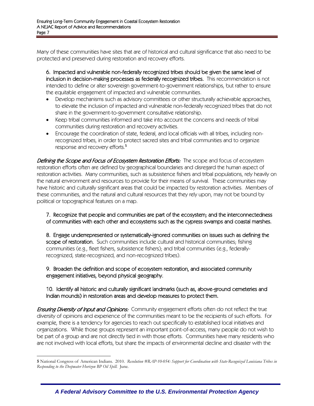Many of these communities have sites that are of historical and cultural significance that also need to be protected and preserved during restoration and recovery efforts.

6. Impacted and vulnerable non-federally recognized tribes should be given the same level of inclusion in decision-making processes as federally recognized tribes. This recommendation is not intended to define or alter sovereign government-to-government relationships, but rather to ensure the equitable engagement of impacted and vulnerable communities.

- Develop mechanisms such as advisory committees or other structurally achievable approaches, to elevate the inclusion of impacted and vulnerable non-federally recognized tribes that do not share in the government-to-government consultative relationship.
- Keep tribal communities informed and take into account the concerns and needs of tribal communities during restoration and recovery activities.
- Encourage the coordination of state, federal, and local officials with all tribes, including nonrecognized tribes, in order to protect sacred sites and tribal communities and to organize response and recovery efforts.<sup>5</sup>

 these communities, and the natural and cultural resources that they rely upon, may not be bound by Defining the Scope and Focus of Ecosystem Restoration Efforts: The scope and focus of ecosystem restoration efforts often are defined by geographical boundaries and disregard the human aspect of restoration activities. Many communities, such as subsistence fishers and tribal populations, rely heavily on the natural environment and resources to provide for their means of survival. These communities may have historic and culturally significant areas that could be impacted by restoration activities. Members of political or topographical features on a map.

#### 7. Recognize that people and communities are part of the ecosystem; and the interconnectedness of communities with each other and ecosystems such as the cypress swamps and coastal marshes.

scope of restoration. Such communities include cultural and historical communities; fishing 8. Engage underrepresented or systematically-ignored communities on issues such as defining the communities (e.g., fleet fishers, subsistence fishers); and tribal communities (e.g., federallyrecognized, state-recognized, and non-recognized tribes).

9. Broaden the definition and scope of ecosystem restoration, and associated community engagement initiatives, beyond physical geography.

#### 10. Identify all historic and culturally significant landmarks (such as, above-ground cemeteries and Indian mounds) in restoration areas and develop measures to protect them.

**Ensuring Diversity of Input and Opinions:** Community engagement efforts often do not reflect the true diversity of opinions and experience of the communities meant to be the recipients of such efforts. For example, there is a tendency for agencies to reach out specifically to established local initiatives and organizations. While those groups represent an important point-of-access, many people do not wish to be part of a group and are not directly tied in with those efforts. Communities have many residents who are not involved with local efforts, but share the impacts of environmental decline and disaster with the

<sup>-</sup> *Responding to the Deepwater Horizon BP Oil Spill.* June. **5** National Congress of American Indians. 2010. *Resolution #RAP-10-054: Support for Coordination with State-Recognized Louisiana Tribes in*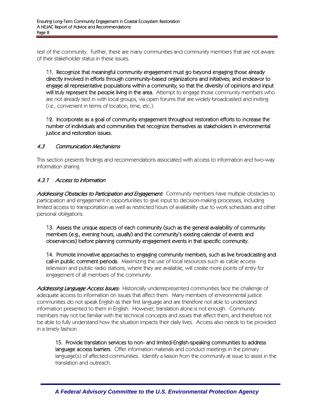rest of the community. Further, there are many communities and community members that are not aware of their stakeholder status in these issues.

11. Recognize that meaningful community engagement must go beyond engaging those already directly involved in efforts through community-based organizations and initiatives; and endeavor to engage all representative populations within a community, so that the diversity of opinions and input will truly represent the people living in the area. Attempt to engage those community members who are not already tied in with local groups, via open forums that are widely broadcasted and inviting (i.e., convenient in terms of location, time, etc.).

#### 12. Incorporate as a goal of community engagement throughout restoration efforts to increase the number of individuals and communities that recognize themselves as stakeholders in environmental justice and restoration issues.

#### 4.3 Communication Mechanisms

This section presents findings and recommendations associated with access to information and two-way information sharing.

#### 4.3.1 Access to Information

Addressing Obstacles to Participation and Engagement: Community members have multiple obstacles to participation and engagement in opportunities to give input to decision-making processes, including limited access to transportation as well as restricted hours of availability due to work schedules and other personal obligations.

13. Assess the unique aspects of each community (such as the general availability of community members (e.g., evening hours, usually) and the community's existing calendar of events and observances) before planning community engagement events in that specific community.

14. Promote innovative approaches to engaging community members, such as live broadcasting and call-in public comment periods. Maximizing the use of local resources such as cable access television and public radio stations, where they are available, will create more points of entry for engagement of all members of the community.

Addressing Language Access Issues: Historically underrepresented communities face the challenge of adequate access to information on issues that affect them. Many members of environmental justice communities do not speak English as their first language and are therefore not able to understand information presented to them in English. However, translation alone is not enough. Community members may not be familiar with the technical concepts and issues that affect them, and therefore not be able to fully understand how the situation impacts their daily lives. Access also needs to be provided in a timely fashion.

language access barriers. Offer information materials and conduct meetings in the primary 15. Provide translation services to non- and limited-English-speaking communities to address language(s) of affected communities. Identify a liaison from the community at issue to assist in the translation and outreach.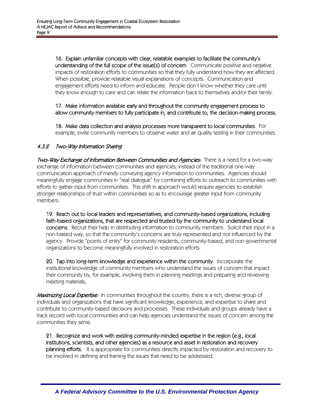16. Explain unfamiliar concepts with clear, relatable examples to facilitate the community's understanding of the full scope of the issue(s) of concern. Communicate positive and negative impacts of restoration efforts to communities so that they fully understand how they are affected. When possible, provide relatable visual explanations of concepts. Communication and engagement efforts need to inform and educate. People don't know whether they care until they know enough to care and can relate the information back to themselves and/or their family.

17. Make information available early and throughout the community engagement process to allow community members to fully participate in, and contribute to, the decision-making process.

18. Make data collection and analysis processes more transparent to local communities. For example, invite community members to observe water and air quality testing in their communities.

# 4.3.2 Two-Way Information Sharing

Two-Way Exchange of Information Between Communities and Agencies: There is a need for a two-way exchange of information between communities and agencies, instead of the traditional one-way communication approach of merely conveying agency information to communities. Agencies should meaningfully engage communities in "real dialogue" by combining efforts to outreach to communities with efforts to gather input from communities. This shift in approach would require agencies to establish stronger relationships of trust within communities so as to encourage greater input from community members.

19. Reach out to local leaders and representatives, and community-based organizations, including faith-based organizations, that are respected and trusted by the community to understand local concerns. Recruit their help in distributing information to community members. Solicit their input in a non-biased way, so that the community's concerns are truly represented and not influenced by the agency. Provide "points of entry" for community residents, community-based, and non-governmental organizations to become meaningfully involved in restoration efforts.

20. Tap into long-term knowledge and experience within the community. Incorporate the institutional knowledge of community members who understand the issues of concern that impact their community by, for example, involving them in planning meetings and preparing and reviewing meeting materials,

Maximizing Local Expertise: In communities throughout the country, there is a rich, diverse group of individuals and organizations that have significant knowledge, experience, and expertise to share and contribute to community-based decisions and processes. These individuals and groups already have a track record with local communities and can help agencies understand the issues of concern among the communities they serve.

planning efforts. It is appropriate for communities directly impacted by restoration and recovery to 21. Recognize and work with existing community-minded expertise in the region (e.g., local institutions, scientists, and other agencies) as a resource and asset in restoration and recovery be involved in defining and framing the issues that need to be addressed.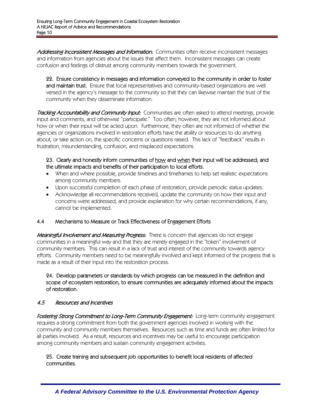Addressing Inconsistent Messages and Information: Communities often receive inconsistent messages and information from agencies about the issues that affect them. Inconsistent messages can create confusion and feelings of distrust among community members towards the government.

22. Ensure consistency in messages and information conveyed to the community in order to foster and maintain trust. Ensure that local representatives and community-based organizations are well versed in the agency's message to the community so that they can likewise maintain the trust of the community when they disseminate information.

Tracking Accountability and Community Input: Communities are often asked to attend meetings, provide input and comments, and otherwise "participate." Too often, however, they are not informed about how or when their input will be acted upon. Furthermore, they often are not informed of whether the agencies or organizations involved in restoration efforts have the ability or resources to do anything about, or take action on, the specific concerns or questions raised. This lack of "feedback" results in frustration, misunderstanding, confusion, and misplaced expectations.

#### 23. Clearly and honestly inform communities of how and when their input will be addressed; and the ultimate impacts and benefits of their participation to local efforts.

- When and where possible, provide timelines and timeframes to help set realistic expectations among community members.
- Upon successful completion of each phase of restoration, provide periodic status updates.
- Acknowledge all recommendations received, update the community on how their input and concerns were addressed, and provide explanation for why certain recommendations, if any, cannot be implemented.

# 4.4 Mechanisms to Measure or Track Effectiveness of Engagement Efforts

Meaningful Involvement and Measuring Progress: There is concern that agencies do not engage communities in a meaningful way and that they are merely engaged in the "token" involvement of community members. This can result in a lack of trust and interest of the community towards agency efforts. Community members need to be meaningfully involved and kept informed of the progress that is made as a result of their input into the restoration process.

### 24. Develop parameters or standards by which progress can be measured in the definition and scope of ecosystem restoration, to ensure communities are adequately informed about the impacts of restoration.

# 4.5 Resources and Incentives

Fostering Strong Commitment to Long-Term Community Engagement: Long-term community engagement requires a strong commitment from both the government agencies involved in working with the community and community members themselves. Resources such as time and funds are often limited for all parties involved. As a result, resources and incentives may be useful to encourage participation among community members and sustain community engagement activities.

# 25. Create training and subsequent job opportunities to benefit local residents of affected communities.

*A Federal Advisory Committee to the U.S. Environmental Protection Agency*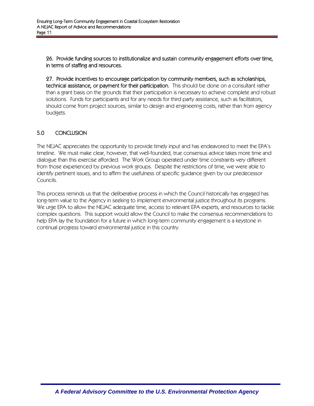26. Provide funding sources to institutionalize and sustain community engagement efforts over time, in terms of staffing and resources.

27. Provide incentives to encourage participation by community members, such as scholarships, technical assistance, or payment for their participation. This should be done on a consultant rather than a grant basis on the grounds that their participation is necessary to achieve complete and robust solutions. Funds for participants and for any needs for third party assistance, such as facilitators, should come from project sources, similar to design and engineering costs, rather than from agency budgets.

# 5.0 CONCLUSION

The NEJAC appreciates the opportunity to provide timely input and has endeavored to meet the EPA's timeline. We must make clear, however, that well-founded, true consensus advice takes more time and dialogue than this exercise afforded. The Work Group operated under time constraints very different from those experienced by previous work groups. Despite the restrictions of time, we were able to identify pertinent issues, and to affirm the usefulness of specific guidance given by our predecessor Councils.

This process reminds us that the deliberative process in which the Council historically has engaged has long-term value to the Agency in seeking to implement environmental justice throughout its programs. We urge EPA to allow the NEJAC adequate time, access to relevant EPA experts, and resources to tackle complex questions. This support would allow the Council to make the consensus recommendations to help EPA lay the foundation for a future in which long-term community engagement is a keystone in continual progress toward environmental justice in this country.